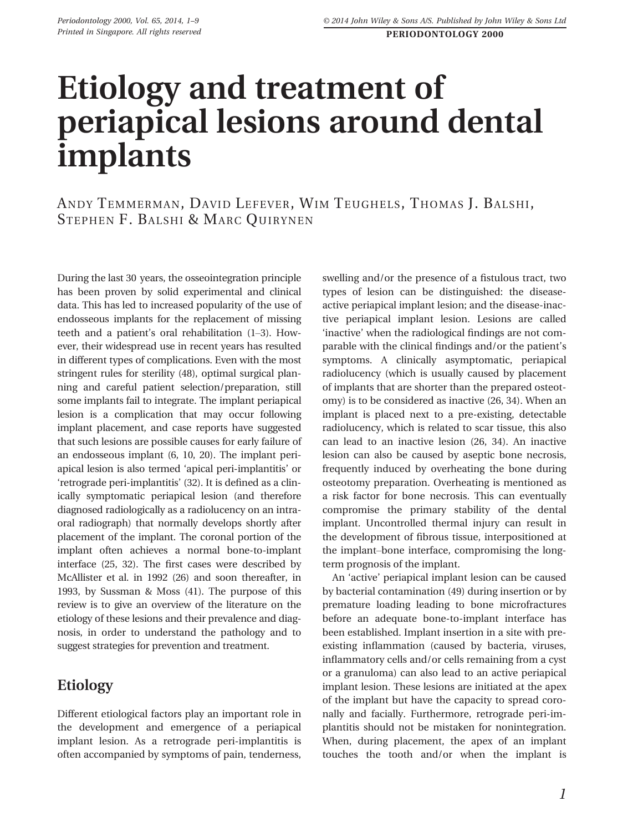# Etiology and treatment of periapical lesions around dental implants

ANDY TEMMERMAN, DAVID LEFEVER, WIM TEUGHELS, THOMAS J. BALSHI, STEPHEN F. BALSHI & MARC QUIRYNEN

During the last 30 years, the osseointegration principle has been proven by solid experimental and clinical data. This has led to increased popularity of the use of endosseous implants for the replacement of missing teeth and a patient's oral rehabilitation (1–3). However, their widespread use in recent years has resulted in different types of complications. Even with the most stringent rules for sterility (48), optimal surgical planning and careful patient selection/preparation, still some implants fail to integrate. The implant periapical lesion is a complication that may occur following implant placement, and case reports have suggested that such lesions are possible causes for early failure of an endosseous implant (6, 10, 20). The implant periapical lesion is also termed 'apical peri-implantitis' or 'retrograde peri-implantitis' (32). It is defined as a clinically symptomatic periapical lesion (and therefore diagnosed radiologically as a radiolucency on an intraoral radiograph) that normally develops shortly after placement of the implant. The coronal portion of the implant often achieves a normal bone-to-implant interface (25, 32). The first cases were described by McAllister et al. in 1992 (26) and soon thereafter, in 1993, by Sussman & Moss (41). The purpose of this review is to give an overview of the literature on the etiology of these lesions and their prevalence and diagnosis, in order to understand the pathology and to suggest strategies for prevention and treatment.

#### Etiology

Different etiological factors play an important role in the development and emergence of a periapical implant lesion. As a retrograde peri-implantitis is often accompanied by symptoms of pain, tenderness, swelling and/or the presence of a fistulous tract, two types of lesion can be distinguished: the diseaseactive periapical implant lesion; and the disease-inactive periapical implant lesion. Lesions are called 'inactive' when the radiological findings are not comparable with the clinical findings and/or the patient's symptoms. A clinically asymptomatic, periapical radiolucency (which is usually caused by placement of implants that are shorter than the prepared osteotomy) is to be considered as inactive (26, 34). When an implant is placed next to a pre-existing, detectable radiolucency, which is related to scar tissue, this also can lead to an inactive lesion (26, 34). An inactive lesion can also be caused by aseptic bone necrosis, frequently induced by overheating the bone during osteotomy preparation. Overheating is mentioned as a risk factor for bone necrosis. This can eventually compromise the primary stability of the dental implant. Uncontrolled thermal injury can result in the development of fibrous tissue, interpositioned at the implant–bone interface, compromising the longterm prognosis of the implant.

An 'active' periapical implant lesion can be caused by bacterial contamination (49) during insertion or by premature loading leading to bone microfractures before an adequate bone-to-implant interface has been established. Implant insertion in a site with preexisting inflammation (caused by bacteria, viruses, inflammatory cells and/or cells remaining from a cyst or a granuloma) can also lead to an active periapical implant lesion. These lesions are initiated at the apex of the implant but have the capacity to spread coronally and facially. Furthermore, retrograde peri-implantitis should not be mistaken for nonintegration. When, during placement, the apex of an implant touches the tooth and/or when the implant is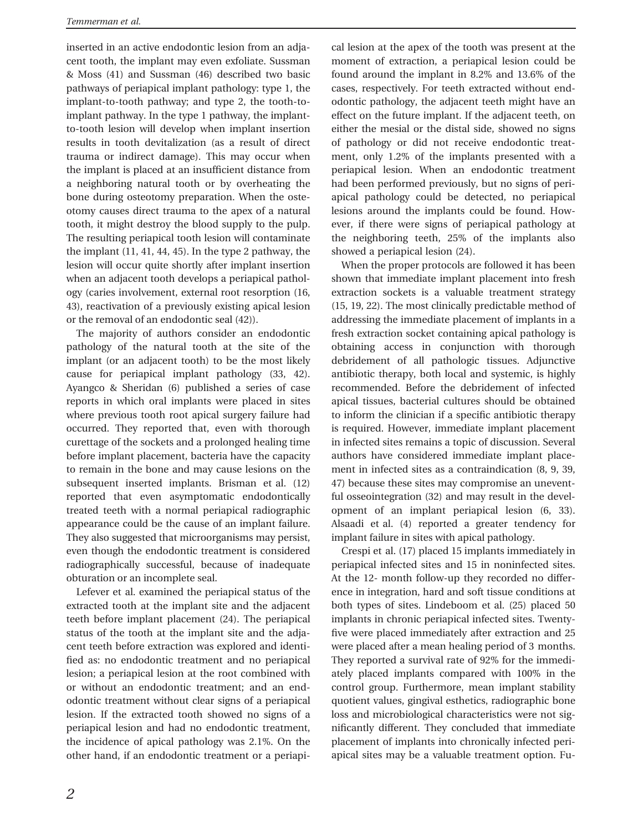inserted in an active endodontic lesion from an adjacent tooth, the implant may even exfoliate. Sussman & Moss (41) and Sussman (46) described two basic pathways of periapical implant pathology: type 1, the implant-to-tooth pathway; and type 2, the tooth-toimplant pathway. In the type 1 pathway, the implantto-tooth lesion will develop when implant insertion results in tooth devitalization (as a result of direct trauma or indirect damage). This may occur when the implant is placed at an insufficient distance from a neighboring natural tooth or by overheating the bone during osteotomy preparation. When the osteotomy causes direct trauma to the apex of a natural tooth, it might destroy the blood supply to the pulp. The resulting periapical tooth lesion will contaminate the implant (11, 41, 44, 45). In the type 2 pathway, the lesion will occur quite shortly after implant insertion when an adjacent tooth develops a periapical pathology (caries involvement, external root resorption (16, 43), reactivation of a previously existing apical lesion or the removal of an endodontic seal (42)).

The majority of authors consider an endodontic pathology of the natural tooth at the site of the implant (or an adjacent tooth) to be the most likely cause for periapical implant pathology (33, 42). Ayangco & Sheridan (6) published a series of case reports in which oral implants were placed in sites where previous tooth root apical surgery failure had occurred. They reported that, even with thorough curettage of the sockets and a prolonged healing time before implant placement, bacteria have the capacity to remain in the bone and may cause lesions on the subsequent inserted implants. Brisman et al. (12) reported that even asymptomatic endodontically treated teeth with a normal periapical radiographic appearance could be the cause of an implant failure. They also suggested that microorganisms may persist, even though the endodontic treatment is considered radiographically successful, because of inadequate obturation or an incomplete seal.

Lefever et al. examined the periapical status of the extracted tooth at the implant site and the adjacent teeth before implant placement (24). The periapical status of the tooth at the implant site and the adjacent teeth before extraction was explored and identified as: no endodontic treatment and no periapical lesion; a periapical lesion at the root combined with or without an endodontic treatment; and an endodontic treatment without clear signs of a periapical lesion. If the extracted tooth showed no signs of a periapical lesion and had no endodontic treatment, the incidence of apical pathology was 2.1%. On the other hand, if an endodontic treatment or a periapical lesion at the apex of the tooth was present at the moment of extraction, a periapical lesion could be found around the implant in 8.2% and 13.6% of the cases, respectively. For teeth extracted without endodontic pathology, the adjacent teeth might have an effect on the future implant. If the adjacent teeth, on either the mesial or the distal side, showed no signs of pathology or did not receive endodontic treatment, only 1.2% of the implants presented with a periapical lesion. When an endodontic treatment had been performed previously, but no signs of periapical pathology could be detected, no periapical lesions around the implants could be found. However, if there were signs of periapical pathology at the neighboring teeth, 25% of the implants also showed a periapical lesion (24).

When the proper protocols are followed it has been shown that immediate implant placement into fresh extraction sockets is a valuable treatment strategy (15, 19, 22). The most clinically predictable method of addressing the immediate placement of implants in a fresh extraction socket containing apical pathology is obtaining access in conjunction with thorough debridement of all pathologic tissues. Adjunctive antibiotic therapy, both local and systemic, is highly recommended. Before the debridement of infected apical tissues, bacterial cultures should be obtained to inform the clinician if a specific antibiotic therapy is required. However, immediate implant placement in infected sites remains a topic of discussion. Several authors have considered immediate implant placement in infected sites as a contraindication (8, 9, 39, 47) because these sites may compromise an uneventful osseointegration (32) and may result in the development of an implant periapical lesion (6, 33). Alsaadi et al. (4) reported a greater tendency for implant failure in sites with apical pathology.

Crespi et al. (17) placed 15 implants immediately in periapical infected sites and 15 in noninfected sites. At the 12- month follow-up they recorded no difference in integration, hard and soft tissue conditions at both types of sites. Lindeboom et al. (25) placed 50 implants in chronic periapical infected sites. Twentyfive were placed immediately after extraction and 25 were placed after a mean healing period of 3 months. They reported a survival rate of 92% for the immediately placed implants compared with 100% in the control group. Furthermore, mean implant stability quotient values, gingival esthetics, radiographic bone loss and microbiological characteristics were not significantly different. They concluded that immediate placement of implants into chronically infected periapical sites may be a valuable treatment option. Fu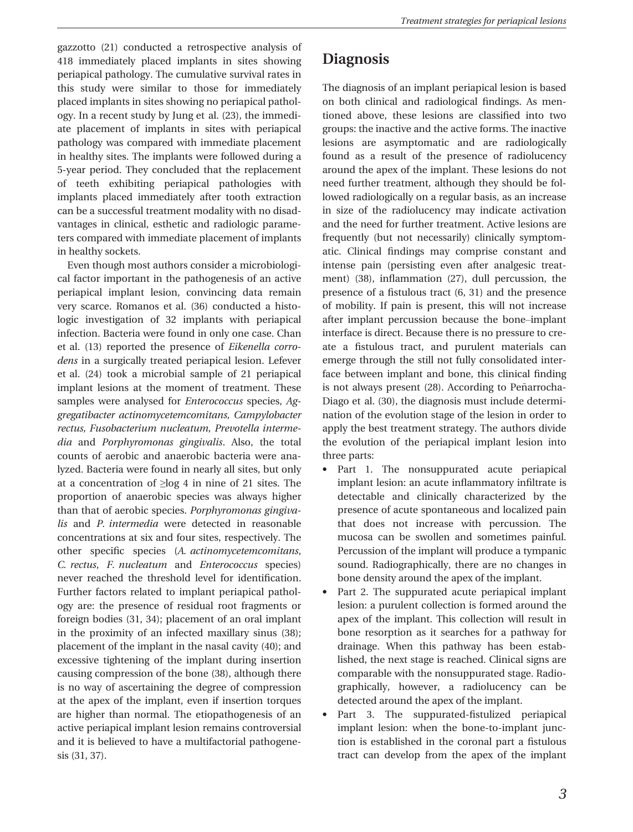gazzotto (21) conducted a retrospective analysis of 418 immediately placed implants in sites showing periapical pathology. The cumulative survival rates in this study were similar to those for immediately placed implants in sites showing no periapical pathology. In a recent study by Jung et al. (23), the immediate placement of implants in sites with periapical pathology was compared with immediate placement in healthy sites. The implants were followed during a 5-year period. They concluded that the replacement of teeth exhibiting periapical pathologies with implants placed immediately after tooth extraction can be a successful treatment modality with no disadvantages in clinical, esthetic and radiologic parameters compared with immediate placement of implants in healthy sockets.

Even though most authors consider a microbiological factor important in the pathogenesis of an active periapical implant lesion, convincing data remain very scarce. Romanos et al. (36) conducted a histologic investigation of 32 implants with periapical infection. Bacteria were found in only one case. Chan et al. (13) reported the presence of Eikenella corrodens in a surgically treated periapical lesion. Lefever et al. (24) took a microbial sample of 21 periapical implant lesions at the moment of treatment. These samples were analysed for *Enterococcus* species, Aggregatibacter actinomycetemcomitans, Campylobacter rectus, Fusobacterium nucleatum, Prevotella intermedia and Porphyromonas gingivalis. Also, the total counts of aerobic and anaerobic bacteria were analyzed. Bacteria were found in nearly all sites, but only at a concentration of  $\geq$ log 4 in nine of 21 sites. The proportion of anaerobic species was always higher than that of aerobic species. Porphyromonas gingivalis and P. intermedia were detected in reasonable concentrations at six and four sites, respectively. The other specific species (A. actinomycetemcomitans, C. rectus, F. nucleatum and Enterococcus species) never reached the threshold level for identification. Further factors related to implant periapical pathology are: the presence of residual root fragments or foreign bodies (31, 34); placement of an oral implant in the proximity of an infected maxillary sinus (38); placement of the implant in the nasal cavity (40); and excessive tightening of the implant during insertion causing compression of the bone (38), although there is no way of ascertaining the degree of compression at the apex of the implant, even if insertion torques are higher than normal. The etiopathogenesis of an active periapical implant lesion remains controversial and it is believed to have a multifactorial pathogenesis (31, 37).

### **Diagnosis**

The diagnosis of an implant periapical lesion is based on both clinical and radiological findings. As mentioned above, these lesions are classified into two groups: the inactive and the active forms. The inactive lesions are asymptomatic and are radiologically found as a result of the presence of radiolucency around the apex of the implant. These lesions do not need further treatment, although they should be followed radiologically on a regular basis, as an increase in size of the radiolucency may indicate activation and the need for further treatment. Active lesions are frequently (but not necessarily) clinically symptomatic. Clinical findings may comprise constant and intense pain (persisting even after analgesic treatment) (38), inflammation (27), dull percussion, the presence of a fistulous tract (6, 31) and the presence of mobility. If pain is present, this will not increase after implant percussion because the bone–implant interface is direct. Because there is no pressure to create a fistulous tract, and purulent materials can emerge through the still not fully consolidated interface between implant and bone, this clinical finding is not always present (28). According to Peñarrocha-Diago et al. (30), the diagnosis must include determination of the evolution stage of the lesion in order to apply the best treatment strategy. The authors divide the evolution of the periapical implant lesion into three parts:

- Part 1. The nonsuppurated acute periapical implant lesion: an acute inflammatory infiltrate is detectable and clinically characterized by the presence of acute spontaneous and localized pain that does not increase with percussion. The mucosa can be swollen and sometimes painful. Percussion of the implant will produce a tympanic sound. Radiographically, there are no changes in bone density around the apex of the implant.
- Part 2. The suppurated acute periapical implant lesion: a purulent collection is formed around the apex of the implant. This collection will result in bone resorption as it searches for a pathway for drainage. When this pathway has been established, the next stage is reached. Clinical signs are comparable with the nonsuppurated stage. Radiographically, however, a radiolucency can be detected around the apex of the implant.
- Part 3. The suppurated-fistulized periapical implant lesion: when the bone-to-implant junction is established in the coronal part a fistulous tract can develop from the apex of the implant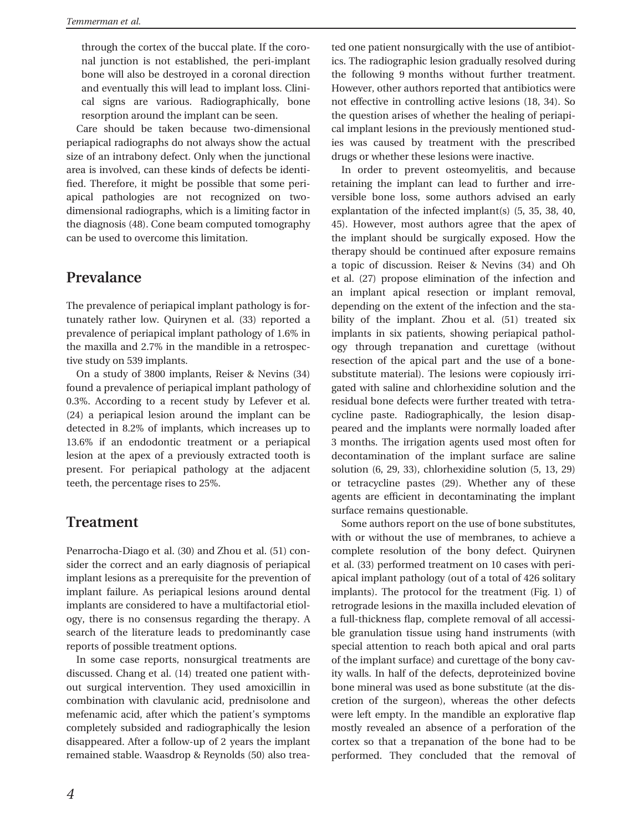through the cortex of the buccal plate. If the coronal junction is not established, the peri-implant bone will also be destroyed in a coronal direction and eventually this will lead to implant loss. Clinical signs are various. Radiographically, bone resorption around the implant can be seen.

Care should be taken because two-dimensional periapical radiographs do not always show the actual size of an intrabony defect. Only when the junctional area is involved, can these kinds of defects be identified. Therefore, it might be possible that some periapical pathologies are not recognized on twodimensional radiographs, which is a limiting factor in the diagnosis (48). Cone beam computed tomography can be used to overcome this limitation.

#### Prevalance

The prevalence of periapical implant pathology is fortunately rather low. Quirynen et al. (33) reported a prevalence of periapical implant pathology of 1.6% in the maxilla and 2.7% in the mandible in a retrospective study on 539 implants.

On a study of 3800 implants, Reiser & Nevins (34) found a prevalence of periapical implant pathology of 0.3%. According to a recent study by Lefever et al. (24) a periapical lesion around the implant can be detected in 8.2% of implants, which increases up to 13.6% if an endodontic treatment or a periapical lesion at the apex of a previously extracted tooth is present. For periapical pathology at the adjacent teeth, the percentage rises to 25%.

#### Treatment

Penarrocha-Diago et al. (30) and Zhou et al. (51) consider the correct and an early diagnosis of periapical implant lesions as a prerequisite for the prevention of implant failure. As periapical lesions around dental implants are considered to have a multifactorial etiology, there is no consensus regarding the therapy. A search of the literature leads to predominantly case reports of possible treatment options.

In some case reports, nonsurgical treatments are discussed. Chang et al. (14) treated one patient without surgical intervention. They used amoxicillin in combination with clavulanic acid, prednisolone and mefenamic acid, after which the patient's symptoms completely subsided and radiographically the lesion disappeared. After a follow-up of 2 years the implant remained stable. Waasdrop & Reynolds (50) also treated one patient nonsurgically with the use of antibiotics. The radiographic lesion gradually resolved during the following 9 months without further treatment. However, other authors reported that antibiotics were not effective in controlling active lesions (18, 34). So the question arises of whether the healing of periapical implant lesions in the previously mentioned studies was caused by treatment with the prescribed drugs or whether these lesions were inactive.

In order to prevent osteomyelitis, and because retaining the implant can lead to further and irreversible bone loss, some authors advised an early explantation of the infected implant(s) (5, 35, 38, 40, 45). However, most authors agree that the apex of the implant should be surgically exposed. How the therapy should be continued after exposure remains a topic of discussion. Reiser & Nevins (34) and Oh et al. (27) propose elimination of the infection and an implant apical resection or implant removal, depending on the extent of the infection and the stability of the implant. Zhou et al. (51) treated six implants in six patients, showing periapical pathology through trepanation and curettage (without resection of the apical part and the use of a bonesubstitute material). The lesions were copiously irrigated with saline and chlorhexidine solution and the residual bone defects were further treated with tetracycline paste. Radiographically, the lesion disappeared and the implants were normally loaded after 3 months. The irrigation agents used most often for decontamination of the implant surface are saline solution (6, 29, 33), chlorhexidine solution (5, 13, 29) or tetracycline pastes (29). Whether any of these agents are efficient in decontaminating the implant surface remains questionable.

Some authors report on the use of bone substitutes, with or without the use of membranes, to achieve a complete resolution of the bony defect. Quirynen et al. (33) performed treatment on 10 cases with periapical implant pathology (out of a total of 426 solitary implants). The protocol for the treatment (Fig. 1) of retrograde lesions in the maxilla included elevation of a full-thickness flap, complete removal of all accessible granulation tissue using hand instruments (with special attention to reach both apical and oral parts of the implant surface) and curettage of the bony cavity walls. In half of the defects, deproteinized bovine bone mineral was used as bone substitute (at the discretion of the surgeon), whereas the other defects were left empty. In the mandible an explorative flap mostly revealed an absence of a perforation of the cortex so that a trepanation of the bone had to be performed. They concluded that the removal of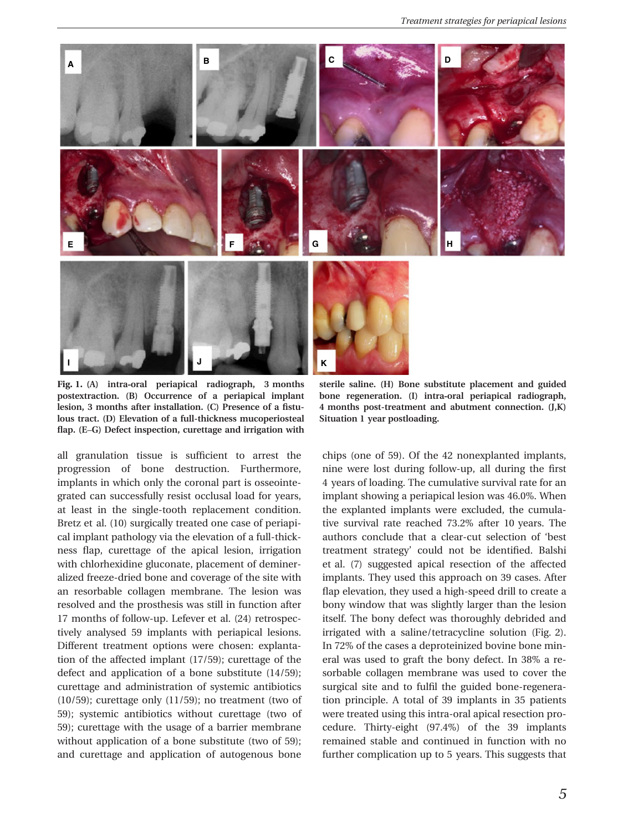

Fig. 1. (A) intra-oral periapical radiograph, 3 months postextraction. (B) Occurrence of a periapical implant lesion, 3 months after installation. (C) Presence of a fistulous tract. (D) Elevation of a full-thickness mucoperiosteal flap. (E–G) Defect inspection, curettage and irrigation with

all granulation tissue is sufficient to arrest the progression of bone destruction. Furthermore, implants in which only the coronal part is osseointegrated can successfully resist occlusal load for years, at least in the single-tooth replacement condition. Bretz et al. (10) surgically treated one case of periapical implant pathology via the elevation of a full-thickness flap, curettage of the apical lesion, irrigation with chlorhexidine gluconate, placement of demineralized freeze-dried bone and coverage of the site with an resorbable collagen membrane. The lesion was resolved and the prosthesis was still in function after 17 months of follow-up. Lefever et al. (24) retrospectively analysed 59 implants with periapical lesions. Different treatment options were chosen: explantation of the affected implant (17/59); curettage of the defect and application of a bone substitute (14/59); curettage and administration of systemic antibiotics  $(10/59)$ ; curettage only  $(11/59)$ ; no treatment (two of 59); systemic antibiotics without curettage (two of 59); curettage with the usage of a barrier membrane without application of a bone substitute (two of 59); and curettage and application of autogenous bone

sterile saline. (H) Bone substitute placement and guided bone regeneration. (I) intra-oral periapical radiograph, 4 months post-treatment and abutment connection. (J,K) Situation 1 year postloading.

chips (one of 59). Of the 42 nonexplanted implants, nine were lost during follow-up, all during the first 4 years of loading. The cumulative survival rate for an implant showing a periapical lesion was 46.0%. When the explanted implants were excluded, the cumulative survival rate reached 73.2% after 10 years. The authors conclude that a clear-cut selection of 'best treatment strategy' could not be identified. Balshi et al. (7) suggested apical resection of the affected implants. They used this approach on 39 cases. After flap elevation, they used a high-speed drill to create a bony window that was slightly larger than the lesion itself. The bony defect was thoroughly debrided and irrigated with a saline/tetracycline solution (Fig. 2). In 72% of the cases a deproteinized bovine bone mineral was used to graft the bony defect. In 38% a resorbable collagen membrane was used to cover the surgical site and to fulfil the guided bone-regeneration principle. A total of 39 implants in 35 patients were treated using this intra-oral apical resection procedure. Thirty-eight (97.4%) of the 39 implants remained stable and continued in function with no further complication up to 5 years. This suggests that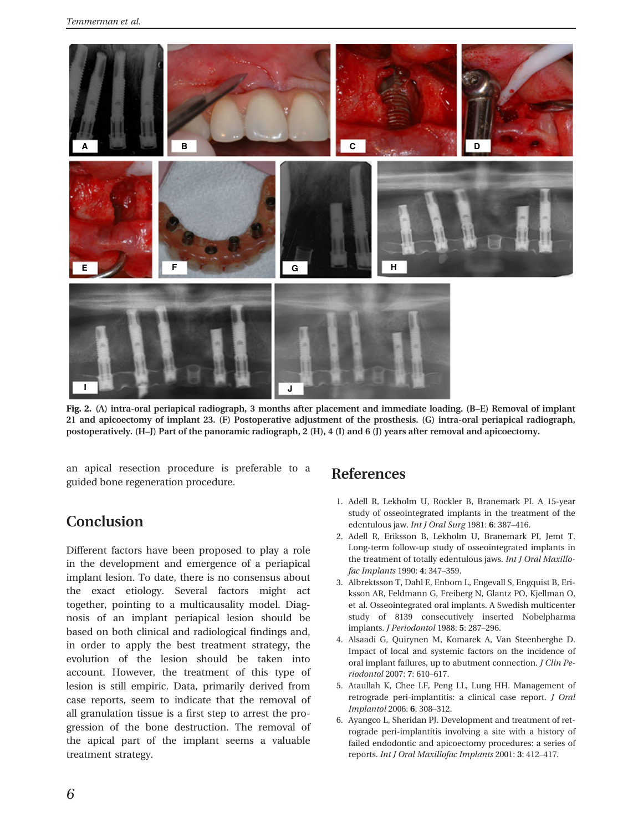

Fig. 2. (A) intra-oral periapical radiograph, 3 months after placement and immediate loading. (B–E) Removal of implant 21 and apicoectomy of implant 23. (F) Postoperative adjustment of the prosthesis. (G) intra-oral periapical radiograph, postoperatively. (H–J) Part of the panoramic radiograph, 2 (H), 4 (I) and 6 (J) years after removal and apicoectomy.

an apical resection procedure is preferable to a guided bone regeneration procedure.

#### Conclusion

Different factors have been proposed to play a role in the development and emergence of a periapical implant lesion. To date, there is no consensus about the exact etiology. Several factors might act together, pointing to a multicausality model. Diagnosis of an implant periapical lesion should be based on both clinical and radiological findings and, in order to apply the best treatment strategy, the evolution of the lesion should be taken into account. However, the treatment of this type of lesion is still empiric. Data, primarily derived from case reports, seem to indicate that the removal of all granulation tissue is a first step to arrest the progression of the bone destruction. The removal of the apical part of the implant seems a valuable treatment strategy.

#### References

- 1. Adell R, Lekholm U, Rockler B, Branemark PI. A 15-year study of osseointegrated implants in the treatment of the edentulous jaw. Int J Oral Surg 1981: 6: 387–416.
- 2. Adell R, Eriksson B, Lekholm U, Branemark PI, Jemt T. Long-term follow-up study of osseointegrated implants in the treatment of totally edentulous jaws. Int J Oral Maxillofac Implants 1990: 4: 347–359.
- 3. Albrektsson T, Dahl E, Enbom L, Engevall S, Engquist B, Eriksson AR, Feldmann G, Freiberg N, Glantz PO, Kjellman O, et al. Osseointegrated oral implants. A Swedish multicenter study of 8139 consecutively inserted Nobelpharma implants. J Periodontol 1988: 5: 287–296.
- 4. Alsaadi G, Quirynen M, Komarek A, Van Steenberghe D. Impact of local and systemic factors on the incidence of oral implant failures, up to abutment connection. J Clin Periodontol 2007: 7: 610–617.
- 5. Ataullah K, Chee LF, Peng LL, Lung HH. Management of retrograde peri-implantitis: a clinical case report. J Oral Implantol 2006: 6: 308–312.
- 6. Ayangco L, Sheridan PJ. Development and treatment of retrograde peri-implantitis involving a site with a history of failed endodontic and apicoectomy procedures: a series of reports. Int J Oral Maxillofac Implants 2001: 3: 412–417.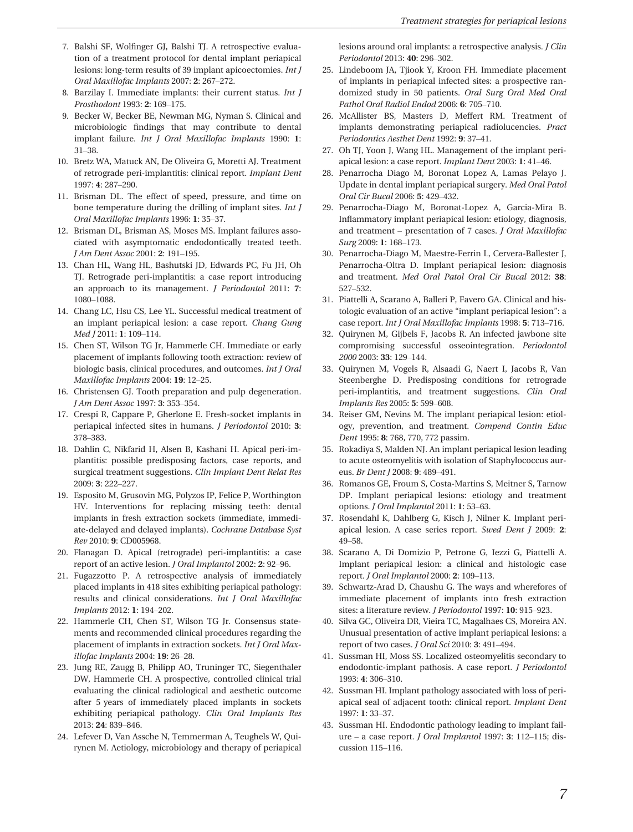- 7. Balshi SF, Wolfinger GJ, Balshi TJ. A retrospective evaluation of a treatment protocol for dental implant periapical lesions: long-term results of 39 implant apicoectomies. Int J Oral Maxillofac Implants 2007: 2: 267–272.
- 8. Barzilay I. Immediate implants: their current status. Int J Prosthodont 1993: 2: 169–175.
- 9. Becker W, Becker BE, Newman MG, Nyman S. Clinical and microbiologic findings that may contribute to dental implant failure. Int J Oral Maxillofac Implants 1990: 1: 31–38.
- 10. Bretz WA, Matuck AN, De Oliveira G, Moretti AJ. Treatment of retrograde peri-implantitis: clinical report. Implant Dent 1997: 4: 287–290.
- 11. Brisman DL. The effect of speed, pressure, and time on bone temperature during the drilling of implant sites. Int J Oral Maxillofac Implants 1996: 1: 35–37.
- 12. Brisman DL, Brisman AS, Moses MS. Implant failures associated with asymptomatic endodontically treated teeth. J Am Dent Assoc 2001: 2: 191–195.
- 13. Chan HL, Wang HL, Bashutski JD, Edwards PC, Fu JH, Oh TJ. Retrograde peri-implantitis: a case report introducing an approach to its management. J Periodontol 2011: 7: 1080–1088.
- 14. Chang LC, Hsu CS, Lee YL. Successful medical treatment of an implant periapical lesion: a case report. Chang Gung Med J 2011: 1: 109–114.
- 15. Chen ST, Wilson TG Jr, Hammerle CH. Immediate or early placement of implants following tooth extraction: review of biologic basis, clinical procedures, and outcomes. Int J Oral Maxillofac Implants 2004: 19: 12–25.
- 16. Christensen GJ. Tooth preparation and pulp degeneration. J Am Dent Assoc 1997: 3: 353–354.
- 17. Crespi R, Cappare P, Gherlone E. Fresh-socket implants in periapical infected sites in humans. J Periodontol 2010: 3: 378–383.
- 18. Dahlin C, Nikfarid H, Alsen B, Kashani H. Apical peri-implantitis: possible predisposing factors, case reports, and surgical treatment suggestions. Clin Implant Dent Relat Res 2009: 3: 222–227.
- 19. Esposito M, Grusovin MG, Polyzos IP, Felice P, Worthington HV. Interventions for replacing missing teeth: dental implants in fresh extraction sockets (immediate, immediate-delayed and delayed implants). Cochrane Database Syst Rev 2010: 9: CD005968.
- 20. Flanagan D. Apical (retrograde) peri-implantitis: a case report of an active lesion. J Oral Implantol 2002: 2: 92–96.
- 21. Fugazzotto P. A retrospective analysis of immediately placed implants in 418 sites exhibiting periapical pathology: results and clinical considerations. Int J Oral Maxillofac Implants 2012: 1: 194–202.
- 22. Hammerle CH, Chen ST, Wilson TG Jr. Consensus statements and recommended clinical procedures regarding the placement of implants in extraction sockets. Int J Oral Maxillofac Implants 2004: 19: 26–28.
- 23. Jung RE, Zaugg B, Philipp AO, Truninger TC, Siegenthaler DW, Hammerle CH. A prospective, controlled clinical trial evaluating the clinical radiological and aesthetic outcome after 5 years of immediately placed implants in sockets exhibiting periapical pathology. Clin Oral Implants Res 2013: 24: 839–846.
- 24. Lefever D, Van Assche N, Temmerman A, Teughels W, Quirynen M. Aetiology, microbiology and therapy of periapical

lesions around oral implants: a retrospective analysis. J Clin Periodontol 2013: 40: 296–302.

- 25. Lindeboom JA, Tjiook Y, Kroon FH. Immediate placement of implants in periapical infected sites: a prospective randomized study in 50 patients. Oral Surg Oral Med Oral Pathol Oral Radiol Endod 2006: 6: 705–710.
- 26. McAllister BS, Masters D, Meffert RM. Treatment of implants demonstrating periapical radiolucencies. Pract Periodontics Aesthet Dent 1992: 9: 37–41.
- 27. Oh TJ, Yoon J, Wang HL. Management of the implant periapical lesion: a case report. Implant Dent 2003: 1: 41–46.
- 28. Penarrocha Diago M, Boronat Lopez A, Lamas Pelayo J. Update in dental implant periapical surgery. Med Oral Patol Oral Cir Bucal 2006: 5: 429–432.
- 29. Penarrocha-Diago M, Boronat-Lopez A, Garcia-Mira B. Inflammatory implant periapical lesion: etiology, diagnosis, and treatment – presentation of 7 cases. J Oral Maxillofac Surg 2009: 1: 168–173.
- 30. Penarrocha-Diago M, Maestre-Ferrin L, Cervera-Ballester J, Penarrocha-Oltra D. Implant periapical lesion: diagnosis and treatment. Med Oral Patol Oral Cir Bucal 2012: 38: 527–532.
- 31. Piattelli A, Scarano A, Balleri P, Favero GA. Clinical and histologic evaluation of an active "implant periapical lesion": a case report. Int J Oral Maxillofac Implants 1998: 5: 713–716.
- 32. Quirynen M, Gijbels F, Jacobs R. An infected jawbone site compromising successful osseointegration. Periodontol <sup>2000</sup> 2003: 33: 129–144.
- 33. Quirynen M, Vogels R, Alsaadi G, Naert I, Jacobs R, Van Steenberghe D. Predisposing conditions for retrograde peri-implantitis, and treatment suggestions. Clin Oral Implants Res 2005: 5: 599–608.
- 34. Reiser GM, Nevins M. The implant periapical lesion: etiology, prevention, and treatment. Compend Contin Educ Dent 1995: 8: 768, 770, 772 passim.
- 35. Rokadiya S, Malden NJ. An implant periapical lesion leading to acute osteomyelitis with isolation of Staphylococcus aureus. Br Dent J 2008: 9: 489–491.
- 36. Romanos GE, Froum S, Costa-Martins S, Meitner S, Tarnow DP. Implant periapical lesions: etiology and treatment options. J Oral Implantol 2011: 1: 53–63.
- 37. Rosendahl K, Dahlberg G, Kisch J, Nilner K. Implant periapical lesion. A case series report. Swed Dent J 2009: 2: 49–58.
- 38. Scarano A, Di Domizio P, Petrone G, Iezzi G, Piattelli A. Implant periapical lesion: a clinical and histologic case report. J Oral Implantol 2000: 2: 109–113.
- 39. Schwartz-Arad D, Chaushu G. The ways and wherefores of immediate placement of implants into fresh extraction sites: a literature review. *J Periodontol* 1997: 10: 915-923.
- 40. Silva GC, Oliveira DR, Vieira TC, Magalhaes CS, Moreira AN. Unusual presentation of active implant periapical lesions: a report of two cases. J Oral Sci 2010: 3: 491–494.
- 41. Sussman HI, Moss SS. Localized osteomyelitis secondary to endodontic-implant pathosis. A case report. J Periodontol 1993: 4: 306–310.
- 42. Sussman HI. Implant pathology associated with loss of periapical seal of adjacent tooth: clinical report. Implant Dent 1997: 1: 33–37.
- 43. Sussman HI. Endodontic pathology leading to implant failure – a case report. J Oral Implantol 1997: 3: 112–115; discussion 115–116.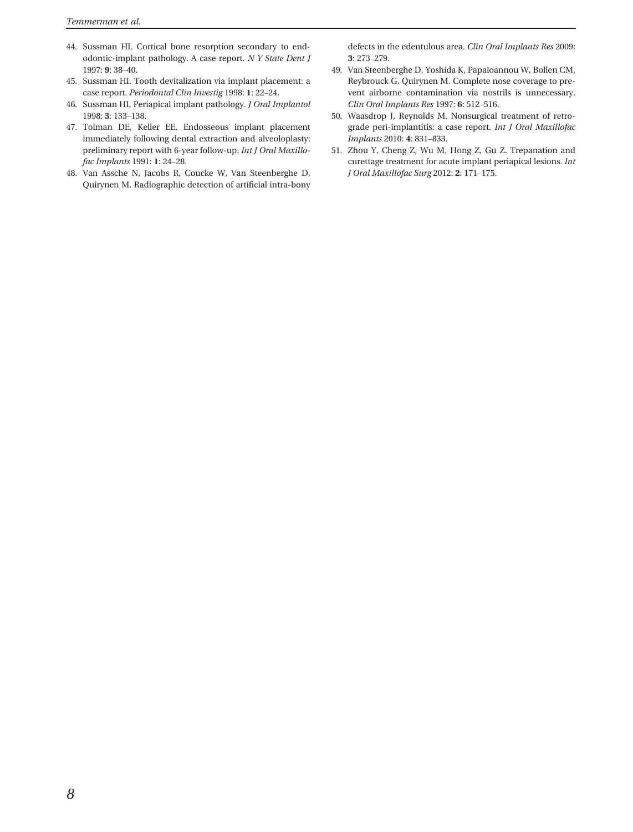- 44. Sussman HI. Cortical bone resorption secondary to endodontic-implant pathology. A case report. N Y State Dent J 1997: 9: 38–40.
- 45. Sussman HI. Tooth devitalization via implant placement: a case report. Periodontal Clin Investig 1998: 1: 22–24.
- 46. Sussman HI. Periapical implant pathology. J Oral Implantol 1998: 3: 133–138.
- 47. Tolman DE, Keller EE. Endosseous implant placement immediately following dental extraction and alveoloplasty: preliminary report with 6-year follow-up. Int J Oral Maxillofac Implants 1991: 1: 24–28.
- 48. Van Assche N, Jacobs R, Coucke W, Van Steenberghe D, Quirynen M. Radiographic detection of artificial intra-bony

defects in the edentulous area. Clin Oral Implants Res 2009: 3: 273–279.

- 49. Van Steenberghe D, Yoshida K, Papaioannou W, Bollen CM, Reybrouck G, Quirynen M. Complete nose coverage to prevent airborne contamination via nostrils is unnecessary. Clin Oral Implants Res 1997: 6: 512–516.
- 50. Waasdrop J, Reynolds M. Nonsurgical treatment of retrograde peri-implantitis: a case report. Int J Oral Maxillofac Implants 2010: 4: 831–833.
- 51. Zhou Y, Cheng Z, Wu M, Hong Z, Gu Z. Trepanation and curettage treatment for acute implant periapical lesions. Int J Oral Maxillofac Surg 2012: 2: 171–175.